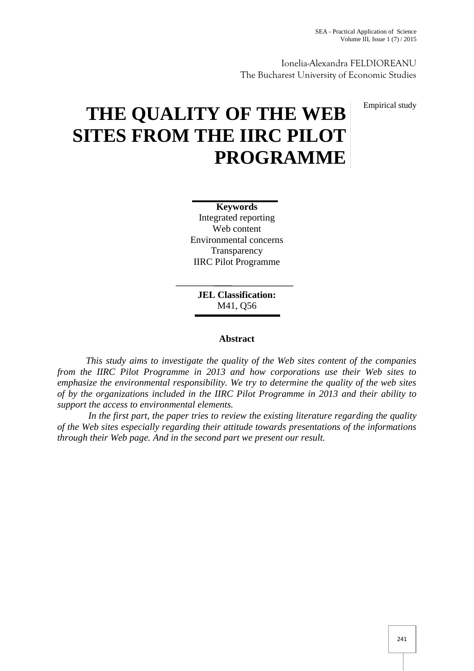Ionelia-Alexandra FELDIOREANU The Bucharest University of Economic Studies

Empirical study

# **THE QUALITY OF THE WEB SITES FROM THE IIRC PILOT PROGRAMME**

**Keywords** Integrated reporting Web content Environmental concerns **Transparency** IIRC Pilot Programme

**JEL Classification:** M41, Q56

## **Abstract**

*This study aims to investigate the quality of the Web sites content of the companies from the IIRC Pilot Programme in 2013 and how corporations use their Web sites to emphasize the environmental responsibility. We try to determine the quality of the web sites of by the organizations included in the IIRC Pilot Programme in 2013 and their ability to support the access to environmental elements.*

*In the first part, the paper tries to review the existing literature regarding the quality of the Web sites especially regarding their attitude towards presentations of the informations through their Web page. And in the second part we present our result.*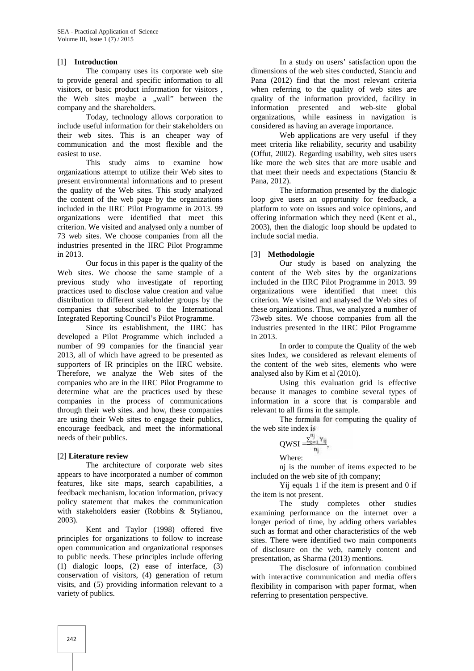#### [1] **Introduction**

The company uses its corporate web site to provide general and specific information to all visitors, or basic product information for visitors , the Web sites maybe a "wall" between the company and the shareholders.

Today, technology allows corporation to include useful information for their stakeholders on their web sites. This is an cheaper way of communication and the most flexible and the easiest to use.

This study aims to examine how organizations attempt to utilize their Web sites to present environmental informations and to present the quality of the Web sites. This study analyzed the content of the web page by the organizations included in the IIRC Pilot Programme in 2013. 99 organizations were identified that meet this criterion. We visited and analysed only a number of 73 web sites. We choose companies from all the industries presented in the IIRC Pilot Programme in 2013.

Our focus in this paper is the quality of the Web sites. We choose the same stample of a previous study who investigate of reporting practices used to disclose value creation and value distribution to different stakeholder groups by the companies that subscribed to the International Integrated Reporting Council's Pilot Programme.

Since its establishment, the IIRC has developed a Pilot Programme which included a number of 99 companies for the financial year 2013, all of which have agreed to be presented as supporters of IR principles on the IIRC website. Therefore, we analyze the Web sites of the companies who are in the IIRC Pilot Programme to determine what are the practices used by these companies in the process of communications through their web sites. and how, these companies are using their Web sites to engage their publics, encourage feedback, and meet the informational needs of their publics.

#### [2] **Literature review**

The architecture of corporate web sites appears to have incorporated a number of common features, like site maps, search capabilities, a feedback mechanism, location information, privacy policy statement that makes the communication with stakeholders easier (Robbins & Stylianou, 2003).

Kent and Taylor (1998) offered five principles for organizations to follow to increase open communication and organizational responses to public needs. These principles include offering (1) dialogic loops, (2) ease of interface, (3) conservation of visitors, (4) generation of return visits, and (5) providing information relevant to a variety of publics.

In a study on users' satisfaction upon the dimensions of the web sites conducted, Stanciu and Pana (2012) find that the most relevant criteria when referring to the quality of web sites are quality of the information provided, facility in information presented and web-site global organizations, while easiness in navigation is considered as having an average importance.

Web applications are very useful if they meet criteria like reliability, security and usability (Offut, 2002). Regarding usability, web sites users like more the web sites that are more usable and that meet their needs and expectations (Stanciu & Pana, 2012).

The information presented by the dialogic loop give users an opportunity for feedback, a platform to vote on issues and voice opinions, and offering information which they need (Kent et al., 2003), then the dialogic loop should be updated to include social media.

#### [3] **Methodologie**

Our study is based on analyzing the content of the Web sites by the organizations included in the IIRC Pilot Programme in 2013. 99 organizations were identified that meet this criterion. We visited and analysed the Web sites of these organizations. Thus, we analyzed a number of 73web sites. We choose companies from all the industries presented in the IIRC Pilot Programme in 2013.

In order to compute the Quality of the web sites Index, we considered as relevant elements of the content of the web sites, elements who were analysed also by Kim et al (2010).

Using this evaluation grid is effective because it manages to combine several types of information in a score that is comparable and relevant to all firms in the sample.

The formula for computing the quality of the web site index is

$$
QWSI = \frac{\sum_{t=1}^{n_j} Y_{ij}}{n_j},
$$
  
Where:

nj is the number of items expected to be included on the web site of ith company:

Yij equals 1 if the item is present and 0 if the item is not present.

The study completes other studies examining performance on the internet over a longer period of time, by adding others variables such as format and other characteristics of the web sites. There were identified two main components of disclosure on the web, namely content and presentation, as Sharma (2013) mentions.

The disclosure of information combined with interactive communication and media offers flexibility in comparison with paper format, when referring to presentation perspective.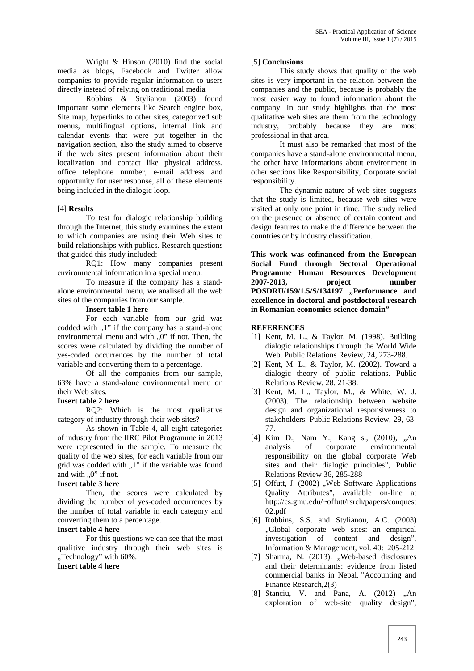Wright & Hinson (2010) find the social media as blogs, Facebook and Twitter allow companies to provide regular information to users directly instead of relying on traditional media

Robbins & Stylianou (2003) found important some elements like Search engine box, Site map, hyperlinks to other sites, categorized sub menus, multilingual options, internal link and calendar events that were put together in the navigation section, also the study aimed to observe if the web sites present information about their localization and contact like physical address, office telephone number, e-mail address and opportunity for user response, all of these elements being included in the dialogic loop.

# [4] **Results**

To test for dialogic relationship building through the Internet, this study examines the extent to which companies are using their Web sites to build relationships with publics. Research questions that guided this study included:

RQ1: How many companies present environmental information in a special menu.

To measure if the company has a stand alone environmental menu, we analised all the web sites of the companies from our sample.

#### **Insert table 1 here**

For each variable from our grid was codded with  $.1$ " if the company has a stand-alone environmental menu and with  $.0$ " if not. Then, the scores were calculated by dividing the number of yes-coded occurrences by the number of total variable and converting them to a percentage.

Of all the companies from our sample, 63% have a stand-alone environmental menu on their Web sites.

#### **Insert table 2 here**

RQ2: Which is the most qualitative category of industry through their web sites?

As shown in Table 4, all eight categories of industry from the IIRC Pilot Programme in 2013 were represented in the sample. To measure the quality of the web sites, for each variable from our grid was codded with  $,1$ " if the variable was found and with  $.0$ " if not.

# **Insert table 3 here**

Then, the scores were calculated by dividing the number of yes-coded occurrences by the number of total variable in each category and converting them to a percentage.

#### **Insert table 4 here**

For this questions we can see that the most qualitive industry through their web sites is ..Technology" with 60%.

## **Insert table 4 here**

#### [5] **Conclusions**

This study shows that quality of the web sites is very important in the relation between the companies and the public, because is probably the most easier way to found information about the company. In our study highlights that the most qualitative web sites are them from the technology industry, probably because they are most professional in that area.

It must also be remarked that most of the companies have a stand-alone environmental menu, the other have informations about environment in other sections like Responsibility, Corporate social responsibility.

The dynamic nature of web sites suggests that the study is limited, because web sites were visited at only one point in time. The study relied on the presence or absence of certain content and design features to make the difference between the countries or by industry classification.

**This work was cofinanced from the European Social Fund through Sectoral Operational Programme Human Resources Development 2007-2013, project number POSDRU/159/1.5/S/134197 "Performance and excellence in doctoral and postdoctoral research in Romanian economics science domain"**

## **REFERENCES**

- [1] Kent, M. L., & Taylor, M. (1998). Building dialogic relationships through the World Wide Web. Public Relations Review, 24, 273-288.
- [2] Kent, M. L., & Taylor, M. (2002). Toward a dialogic theory of public relations. Public Relations Review, 28, 21-38.
- [3] Kent, M. L., Taylor, M., & White, W. J. (2003). The relationship between website design and organizational responsiveness to stakeholders. Public Relations Review, 29, 63- 77.
- [4] Kim D., Nam Y., Kang s., (2010), "An analysis of corporate environmental responsibility on the global corporate Web sites and their dialogic principles", Public Relations Review 36, 285-288
- [5] Offutt, J. (2002) "Web Software Applications Quality Attributes", available on-line at http://cs.gmu.edu/~offutt/rsrch/papers/conquest 02.pdf
- [6] Robbins, S.S. and Stylianou, A.C. (2003) "Global corporate web sites: an empirical investigation of content and design", Information & Management, vol. 40: 205-212
- [7] Sharma, N. (2013). ..Web-based disclosures and their determinants: evidence from listed commercial banks in Nepal. "Accounting and Finance Research,2(3)
- [8] Stanciu, V. and Pana, A. (2012) "An exploration of web-site quality design",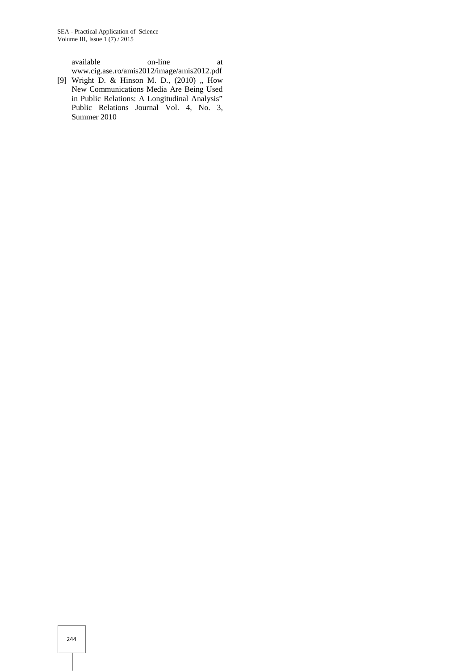available on-line at www.cig.ase.ro/amis2012/image/amis2012.pdf

[9] Wright D. & Hinson M. D., (2010) ,, How New Communications Media Are Being Used in Public Relations: A Longitudinal Analysis" Public Relations Journal Vol. 4, No. 3, Summer 2010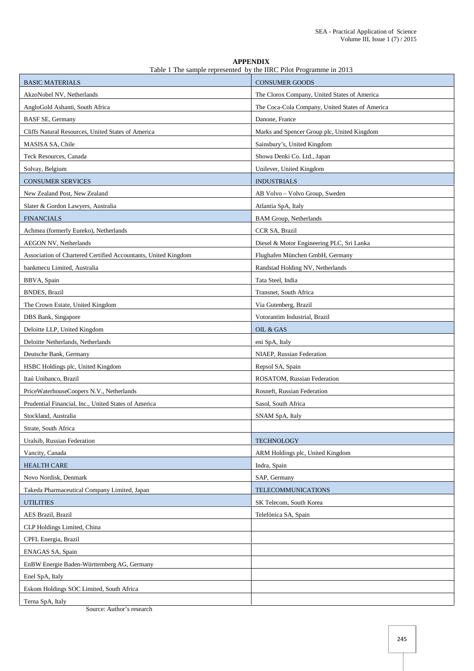| <b>APPENDIX</b>                                                    |
|--------------------------------------------------------------------|
| Table 1 The sample represented by the IIRC Pilot Programme in 2013 |

| <b>BASIC MATERIALS</b>                                         | <b>CONSUMER GOODS</b>                           |  |
|----------------------------------------------------------------|-------------------------------------------------|--|
| AkzoNobel NV, Netherlands                                      | The Clorox Company, United States of America    |  |
| AngloGold Ashanti, South Africa                                | The Coca-Cola Company, United States of America |  |
| <b>BASF SE, Germany</b>                                        | Danone, France                                  |  |
| Cliffs Natural Resources, United States of America             | Marks and Spencer Group plc, United Kingdom     |  |
| MASISA SA, Chile                                               | Sainsbury's, United Kingdom                     |  |
| Teck Resources, Canada                                         | Showa Denki Co. Ltd., Japan                     |  |
| Solvay, Belgium                                                | Unilever, United Kingdom                        |  |
| <b>CONSUMER SERVICES</b>                                       | <b>INDUSTRIALS</b>                              |  |
| New Zealand Post, New Zealand                                  | AB Volvo - Volvo Group, Sweden                  |  |
| Slater & Gordon Lawyers, Australia                             | Atlantia SpA, Italy                             |  |
| <b>FINANCIALS</b>                                              | <b>BAM Group, Netherlands</b>                   |  |
| Achmea (formerly Eureko), Netherlands                          | CCR SA, Brazil                                  |  |
| <b>AEGON NV, Netherlands</b>                                   | Diesel & Motor Engineering PLC, Sri Lanka       |  |
| Association of Chartered Certified Accountants, United Kingdom | Flughafen München GmbH, Germany                 |  |
| bankmecu Limited. Australia                                    | Randstad Holding NV, Netherlands                |  |
| BBVA, Spain                                                    | Tata Steel, India                               |  |
| <b>BNDES, Brazil</b>                                           | Transnet, South Africa                          |  |
| The Crown Estate, United Kingdom                               | Via Gutenberg, Brazil                           |  |
| DBS Bank, Singapore                                            | Votorantim Industrial, Brazil                   |  |
| Deloitte LLP, United Kingdom                                   | OIL & GAS                                       |  |
| Deloitte Netherlands, Netherlands                              | eni SpA, Italy                                  |  |
| Deutsche Bank, Germany                                         | NIAEP, Russian Federation                       |  |
| HSBC Holdings plc, United Kingdom                              | Repsol SA, Spain                                |  |
| Itaú Unibanco, Brazil                                          | ROSATOM, Russian Federation                     |  |
| PriceWaterhouseCoopers N.V., Netherlands                       | Rosneft, Russian Federation                     |  |
| Prudential Financial, Inc., United States of America           | Sasol, South Africa                             |  |
| Stockland, Australia                                           | SNAM SpA, Italy                                 |  |
| Strate, South Africa                                           |                                                 |  |
| Uralsib, Russian Federation                                    | <b>TECHNOLOGY</b>                               |  |
| Vancity, Canada                                                | ARM Holdings plc, United Kingdom                |  |
| <b>HEALTH CARE</b>                                             | Indra, Spain                                    |  |
| Novo Nordisk, Denmark                                          | SAP, Germany                                    |  |
| Takeda Pharmaceutical Company Limited, Japan                   | <b>TELECOMMUNICATIONS</b>                       |  |
| <b>UTILITIES</b>                                               | SK Telecom, South Korea                         |  |
| AES Brazil, Brazil                                             | Telefónica SA, Spain                            |  |
| CLP Holdings Limited, China                                    |                                                 |  |
| CPFL Energia, Brazil                                           |                                                 |  |
| ENAGAS SA, Spain                                               |                                                 |  |
| EnBW Energie Baden-Württemberg AG, Germany                     |                                                 |  |
| Enel SpA, Italy                                                |                                                 |  |
| Eskom Holdings SOC Limited, South Africa                       |                                                 |  |
| Terna SpA, Italy                                               |                                                 |  |

Source: Author's research